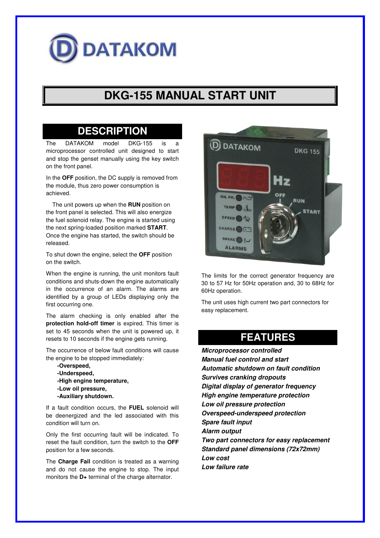# **DATAKOM**

# **DKG-155 MANUAL START UNIT**

### **DESCRIPTION**

The DATAKOM model DKG-155 is microprocessor controlled unit designed to start and stop the genset manually using the key switch on the front panel.

In the **OFF** position, the DC supply is removed from the module, thus zero power consumption is achieved.

 The unit powers up when the **RUN** position on the front panel is selected. This will also energize the fuel solenoid relay. The engine is started using the next spring-loaded position marked **START**. Once the engine has started, the switch should be released.

To shut down the engine, select the **OFF** position on the switch.

When the engine is running, the unit monitors fault conditions and shuts-down the engine automatically in the occurrence of an alarm. The alarms are identified by a group of LEDs displaying only the first occurring one.

The alarm checking is only enabled after the **protection hold-off timer** is expired. This timer is set to 45 seconds when the unit is powered up, it resets to 10 seconds if the engine gets running.

The occurrence of below fault conditions will cause the engine to be stopped immediately:

 **-Overspeed, -Underspeed, -High engine temperature, -Low oil pressure, -Auxiliary shutdown.**

If a fault condition occurs, the **FUEL** solenoid will be deenergized and the led associated with this condition will turn on.

Only the first occurring fault will be indicated. To reset the fault condition, turn the switch to the **OFF** position for a few seconds.

The **Charge Fail** condition is treated as a warning and do not cause the engine to stop. The input monitors the **D+** terminal of the charge alternator.



The limits for the correct generator frequency are 30 to 57 Hz for 50Hz operation and, 30 to 68Hz for 60Hz operation.

The unit uses high current two part connectors for easy replacement.

## **FEATURES**

**Microprocessor controlled Manual fuel control and start Automatic shutdown on fault condition Survives cranking dropouts Digital display of generator frequency High engine temperature protection Low oil pressure protection Overspeed-underspeed protection Spare fault input Alarm output Two part connectors for easy replacement Standard panel dimensions (72x72mm) Low cost Low failure rate**